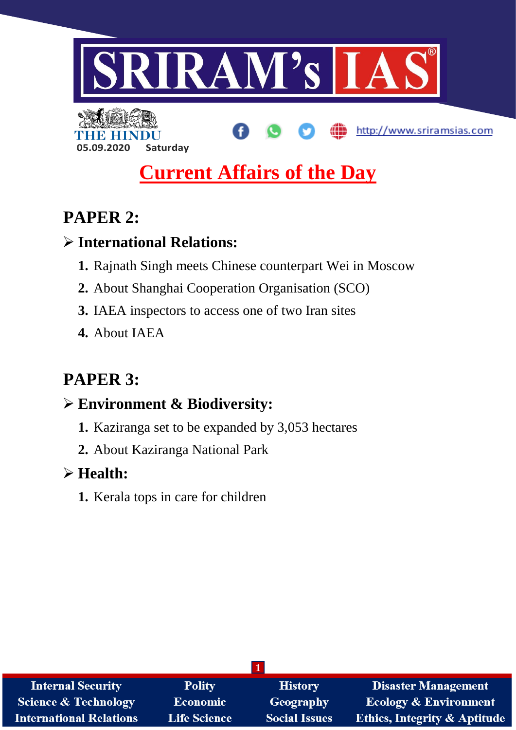

http://www.sriramsias.com

# **Current Affairs of the Day**

# **PAPER 2:**

# **International Relations:**

**05.09.2020 Saturday**

- **1.** Rajnath Singh meets Chinese counterpart Wei in Moscow
- **2.** About Shanghai Cooperation Organisation (SCO)
- **3.** IAEA inspectors to access one of two Iran sites
- **4.** About IAEA

# **PAPER 3:**

# **Environment & Biodiversity:**

- **1.** Kaziranga set to be expanded by 3,053 hectares
- **2.** About Kaziranga National Park

# **Health:**

**1.** Kerala tops in care for children

| <b>Internal Security</b>        | <b>Polity</b>       | <b>History</b>       | <b>Disaster Management</b>              |  |
|---------------------------------|---------------------|----------------------|-----------------------------------------|--|
| <b>Science &amp; Technology</b> | <b>Economic</b>     | <b>Geography</b>     | <b>Ecology &amp; Environment</b>        |  |
| <b>International Relations</b>  | <b>Life Science</b> | <b>Social Issues</b> | <b>Ethics, Integrity &amp; Aptitude</b> |  |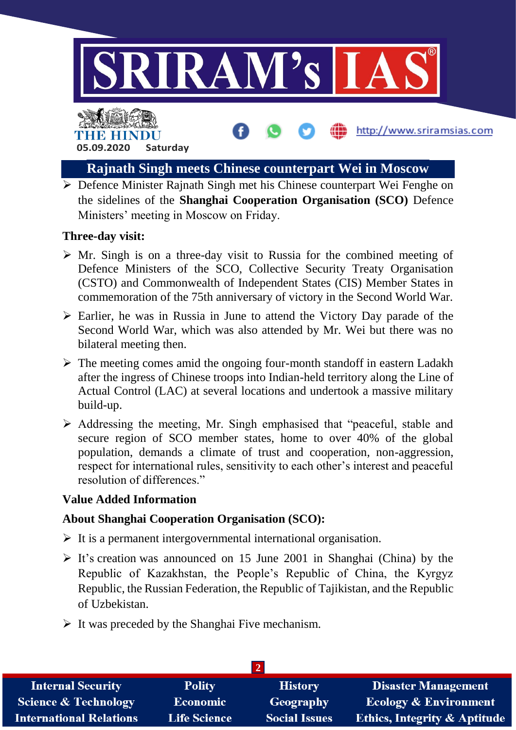

http://www.sriramsias.com

# THE HINDL **05.09.2020 Saturday**

# **Rajnath Singh meets Chinese counterpart Wei in Moscow**

 $\triangleright$  Defence Minister Rajnath Singh met his Chinese counterpart Wei Fenghe on the sidelines of the **Shanghai Cooperation Organisation (SCO)** Defence Ministers' meeting in Moscow on Friday.

# **Three-day visit:**

- $\triangleright$  Mr. Singh is on a three-day visit to Russia for the combined meeting of Defence Ministers of the SCO, Collective Security Treaty Organisation (CSTO) and Commonwealth of Independent States (CIS) Member States in commemoration of the 75th anniversary of victory in the Second World War.
- $\triangleright$  Earlier, he was in Russia in June to attend the Victory Day parade of the Second World War, which was also attended by Mr. Wei but there was no bilateral meeting then.
- $\triangleright$  The meeting comes amid the ongoing four-month standoff in eastern Ladakh after the ingress of Chinese troops into Indian-held territory along the Line of Actual Control (LAC) at several locations and undertook a massive military build-up.
- $\triangleright$  Addressing the meeting, Mr. Singh emphasised that "peaceful, stable and secure region of SCO member states, home to over 40% of the global population, demands a climate of trust and cooperation, non-aggression, respect for international rules, sensitivity to each other's interest and peaceful resolution of differences."

# **Value Added Information**

# **About Shanghai Cooperation Organisation (SCO):**

- $\triangleright$  It is a permanent intergovernmental international organisation.
- $\triangleright$  It's creation was announced on 15 June 2001 in Shanghai (China) by the Republic of Kazakhstan, the People's Republic of China, the Kyrgyz Republic, the Russian Federation, the Republic of Tajikistan, and the Republic of Uzbekistan.
- $\triangleright$  It was preceded by the Shanghai Five mechanism.

| <b>Internal Security</b>        | <b>Polity</b>       | <b>History</b>       | <b>Disaster Management</b>              |  |
|---------------------------------|---------------------|----------------------|-----------------------------------------|--|
| <b>Science &amp; Technology</b> | <b>Economic</b>     | Geography            | <b>Ecology &amp; Environment</b>        |  |
| <b>International Relations</b>  | <b>Life Science</b> | <b>Social Issues</b> | <b>Ethics, Integrity &amp; Aptitude</b> |  |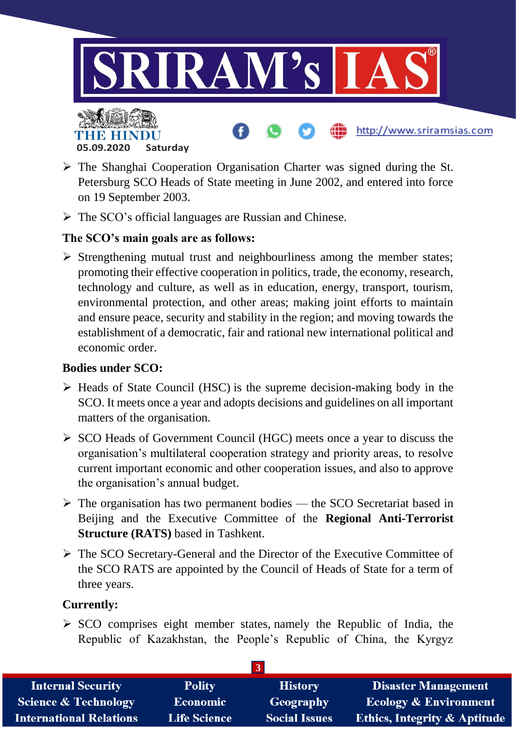

- $\triangleright$  The Shanghai Cooperation Organisation Charter was signed during the St. Petersburg SCO Heads of State meeting in June 2002, and entered into force on 19 September 2003.
- $\triangleright$  The SCO's official languages are Russian and Chinese.

# **The SCO's main goals are as follows:**

 $\triangleright$  Strengthening mutual trust and neighbourliness among the member states; promoting their effective cooperation in politics, trade, the economy, research, technology and culture, as well as in education, energy, transport, tourism, environmental protection, and other areas; making joint efforts to maintain and ensure peace, security and stability in the region; and moving towards the establishment of a democratic, fair and rational new international political and economic order.

#### **Bodies under SCO:**

- $\triangleright$  Heads of State Council (HSC) is the supreme decision-making body in the SCO. It meets once a year and adopts decisions and guidelines on all important matters of the organisation.
- $\triangleright$  SCO Heads of Government Council (HGC) meets once a year to discuss the organisation's multilateral cooperation strategy and priority areas, to resolve current important economic and other cooperation issues, and also to approve the organisation's annual budget.
- $\triangleright$  The organisation has two permanent bodies the SCO Secretariat based in Beijing and the Executive Committee of the **Regional Anti-Terrorist Structure (RATS)** based in Tashkent.
- The SCO Secretary-General and the Director of the Executive Committee of the SCO RATS are appointed by the Council of Heads of State for a term of three years.

# **Currently:**

 $\triangleright$  SCO comprises eight member states, namely the Republic of India, the Republic of Kazakhstan, the People's Republic of China, the Kyrgyz

| <b>Internal Security</b>        | <b>Polity</b>       | <b>History</b>       | <b>Disaster Management</b>              |  |
|---------------------------------|---------------------|----------------------|-----------------------------------------|--|
| <b>Science &amp; Technology</b> | Economic            | Geography            | <b>Ecology &amp; Environment</b>        |  |
| <b>International Relations</b>  | <b>Life Science</b> | <b>Social Issues</b> | <b>Ethics, Integrity &amp; Aptitude</b> |  |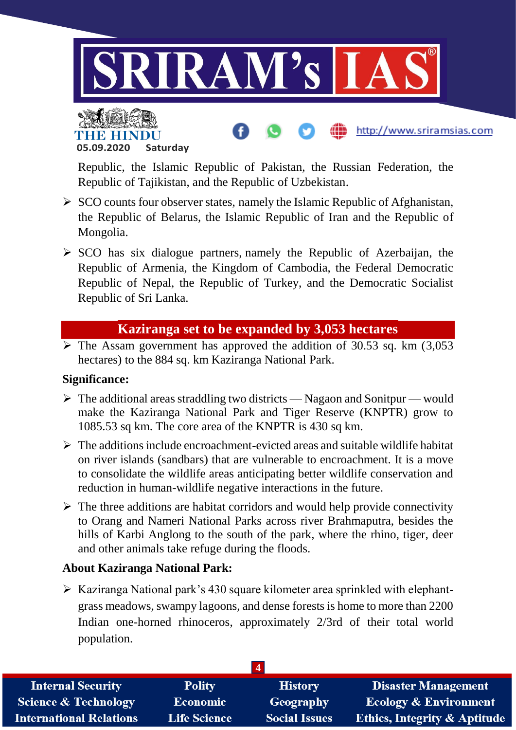



Republic, the Islamic Republic of Pakistan, the Russian Federation, the Republic of Tajikistan, and the Republic of Uzbekistan.

http://www.sriramsias.com

- $\triangleright$  SCO counts four observer states, namely the Islamic Republic of Afghanistan, the Republic of Belarus, the Islamic Republic of Iran and the Republic of Mongolia.
- $\triangleright$  SCO has six dialogue partners, namely the Republic of Azerbaijan, the Republic of Armenia, the Kingdom of Cambodia, the Federal Democratic Republic of Nepal, the Republic of Turkey, and the Democratic Socialist Republic of Sri Lanka.

# **Kaziranga set to be expanded by 3,053 hectares**

 $\triangleright$  The Assam government has approved the addition of 30.53 sq. km (3,053) hectares) to the 884 sq. km Kaziranga National Park.

#### **Significance:**

- $\triangleright$  The additional areas straddling two districts Nagaon and Sonitpur would make the Kaziranga National Park and Tiger Reserve (KNPTR) grow to 1085.53 sq km. The core area of the KNPTR is 430 sq km.
- $\triangleright$  The additions include encroachment-evicted areas and suitable wildlife habitat on river islands (sandbars) that are vulnerable to encroachment. It is a move to consolidate the wildlife areas anticipating better wildlife conservation and reduction in human-wildlife negative interactions in the future.
- $\triangleright$  The three additions are habitat corridors and would help provide connectivity to Orang and Nameri National Parks across river Brahmaputra, besides the hills of Karbi Anglong to the south of the park, where the rhino, tiger, deer and other animals take refuge during the floods.

#### **About Kaziranga National Park:**

 $\triangleright$  Kaziranga National park's 430 square kilometer area sprinkled with elephantgrass meadows, swampy lagoons, and dense forests is home to more than 2200 Indian one-horned rhinoceros, approximately 2/3rd of their total world population.

| <b>Internal Security</b>        | <b>Polity</b>       | <b>History</b>       | <b>Disaster Management</b>       |
|---------------------------------|---------------------|----------------------|----------------------------------|
| <b>Science &amp; Technology</b> | <b>Economic</b>     | <b>Geography</b>     | <b>Ecology &amp; Environment</b> |
| <b>International Relations</b>  | <b>Life Science</b> | <b>Social Issues</b> | Ethics, Integrity & Aptitude     |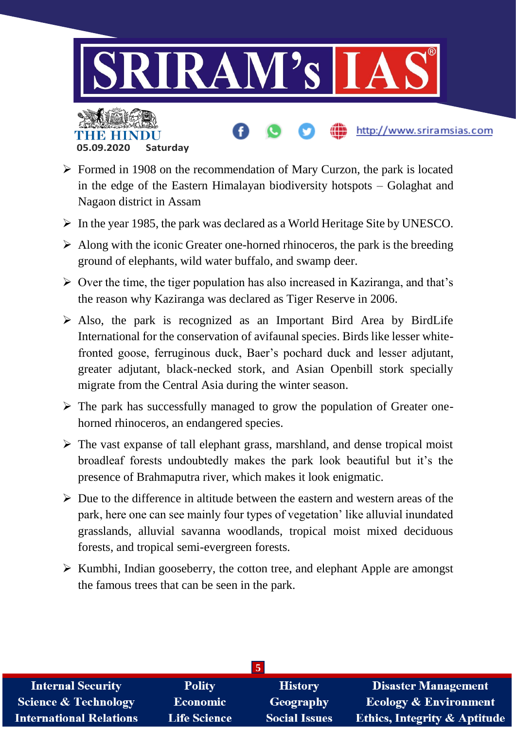

- $\triangleright$  Formed in 1908 on the recommendation of Mary Curzon, the park is located in the edge of the Eastern Himalayan biodiversity hotspots – Golaghat and Nagaon district in Assam
- $\triangleright$  In the year 1985, the park was declared as a World Heritage Site by UNESCO.
- $\triangleright$  Along with the iconic Greater one-horned rhinoceros, the park is the breeding ground of elephants, wild water buffalo, and swamp deer.
- $\triangleright$  Over the time, the tiger population has also increased in Kaziranga, and that's the reason why Kaziranga was declared as Tiger Reserve in 2006.
- $\triangleright$  Also, the park is recognized as an Important Bird Area by BirdLife International for the conservation of avifaunal species. Birds like lesser whitefronted goose, ferruginous duck, Baer's pochard duck and lesser adjutant, greater adjutant, black-necked stork, and Asian Openbill stork specially migrate from the Central Asia during the winter season.
- $\triangleright$  The park has successfully managed to grow the population of Greater onehorned rhinoceros, an endangered species.
- $\triangleright$  The vast expanse of tall elephant grass, marshland, and dense tropical moist broadleaf forests undoubtedly makes the park look beautiful but it's the presence of Brahmaputra river, which makes it look enigmatic.
- $\triangleright$  Due to the difference in altitude between the eastern and western areas of the park, here one can see mainly four types of vegetation' like alluvial inundated grasslands, alluvial savanna woodlands, tropical moist mixed deciduous forests, and tropical semi-evergreen forests.
- $\triangleright$  Kumbhi, Indian gooseberry, the cotton tree, and elephant Apple are amongst the famous trees that can be seen in the park.

| <b>Internal Security</b>        | <b>Polity</b>       | <b>History</b>       | <b>Disaster Management</b>              |  |
|---------------------------------|---------------------|----------------------|-----------------------------------------|--|
| <b>Science &amp; Technology</b> | <b>Economic</b>     | Geography            | <b>Ecology &amp; Environment</b>        |  |
| <b>International Relations</b>  | <b>Life Science</b> | <b>Social Issues</b> | <b>Ethics, Integrity &amp; Aptitude</b> |  |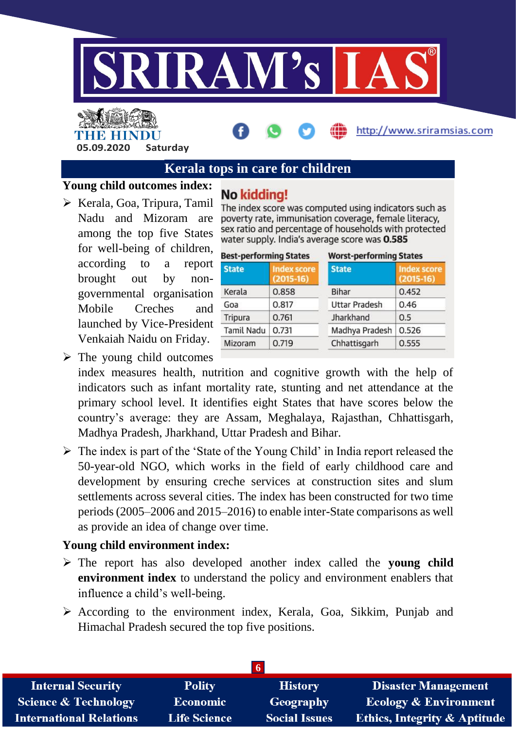

# THE HINDU **05.09.2020 Saturday**

# **Kerala tops in care for children**

#### **Young child outcomes index:**

- No kidding!
- $\triangleright$  Kerala, Goa, Tripura, Tamil Nadu and Mizoram are among the top five States for well-being of children, according to a report brought out by nongovernmental organisation Mobile Creches and launched by Vice-President Venkaiah Naidu on Friday.

The index score was computed using indicators such as poverty rate, immunisation coverage, female literacy, sex ratio and percentage of households with protected water supply. India's average score was 0.585

http://www.sriramsias.com

| <b>Best-performing States</b> |                                   | <b>Worst-performing States</b> |                                   |  |
|-------------------------------|-----------------------------------|--------------------------------|-----------------------------------|--|
| <b>State</b>                  | <b>Index score</b><br>$(2015-16)$ | <b>State</b>                   | <b>Index score</b><br>$(2015-16)$ |  |
| Kerala                        | 0.858                             | Bihar                          | 0.452                             |  |
| Goa                           | 0.817                             | <b>Uttar Pradesh</b>           | 0.46                              |  |
| Tripura                       | 0.761                             | Jharkhand                      | 0.5                               |  |
| <b>Tamil Nadu</b>             | 0.731                             | Madhya Pradesh                 | 0.526                             |  |
| Mizoram                       | 0.719                             | Chhattisgarh                   | 0.555                             |  |

- $\triangleright$  The young child outcomes index measures health, nutrition and cognitive growth with the help of indicators such as infant mortality rate, stunting and net attendance at the primary school level. It identifies eight States that have scores below the country's average: they are Assam, Meghalaya, Rajasthan, Chhattisgarh, Madhya Pradesh, Jharkhand, Uttar Pradesh and Bihar.
- $\triangleright$  The index is part of the 'State of the Young Child' in India report released the 50-year-old NGO, which works in the field of early childhood care and development by ensuring creche services at construction sites and slum settlements across several cities. The index has been constructed for two time periods (2005–2006 and 2015–2016) to enable inter-State comparisons as well as provide an idea of change over time.

#### **Young child environment index:**

- The report has also developed another index called the **young child environment index** to understand the policy and environment enablers that influence a child's well-being.
- $\triangleright$  According to the environment index, Kerala, Goa, Sikkim, Punjab and Himachal Pradesh secured the top five positions.

| <b>Internal Security</b>        | <b>Polity</b>       | <b>History</b>       | <b>Disaster Management</b>              |  |
|---------------------------------|---------------------|----------------------|-----------------------------------------|--|
| <b>Science &amp; Technology</b> | <b>Economic</b>     | Geography            | <b>Ecology &amp; Environment</b>        |  |
| <b>International Relations</b>  | <b>Life Science</b> | <b>Social Issues</b> | <b>Ethics, Integrity &amp; Aptitude</b> |  |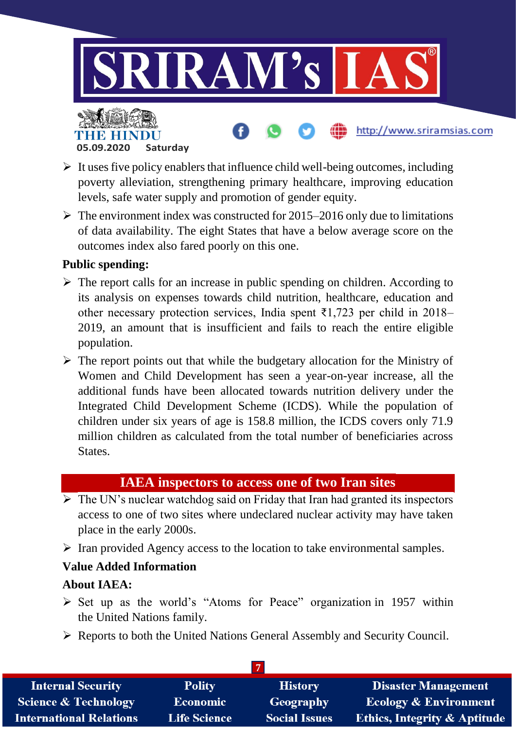

- $\triangleright$  It uses five policy enablers that influence child well-being outcomes, including poverty alleviation, strengthening primary healthcare, improving education levels, safe water supply and promotion of gender equity.
- $\triangleright$  The environment index was constructed for 2015–2016 only due to limitations of data availability. The eight States that have a below average score on the outcomes index also fared poorly on this one.

#### **Public spending:**

- $\triangleright$  The report calls for an increase in public spending on children. According to its analysis on expenses towards child nutrition, healthcare, education and other necessary protection services, India spent ₹1,723 per child in 2018– 2019, an amount that is insufficient and fails to reach the entire eligible population.
- $\triangleright$  The report points out that while the budgetary allocation for the Ministry of Women and Child Development has seen a year-on-year increase, all the additional funds have been allocated towards nutrition delivery under the Integrated Child Development Scheme (ICDS). While the population of children under six years of age is 158.8 million, the ICDS covers only 71.9 million children as calculated from the total number of beneficiaries across States.

# **IAEA inspectors to access one of two Iran sites**

- $\overline{\triangleright}$  The UN's nuclear watchdog said on Friday that Iran had granted its inspectors access to one of two sites where undeclared nuclear activity may have taken place in the early 2000s.
- $\triangleright$  Iran provided Agency access to the location to take environmental samples.

# **Value Added Information**

#### **About IAEA:**

- $\triangleright$  Set up as the world's "Atoms for Peace" organization in 1957 within the United Nations family.
- Reports to both the United Nations General Assembly and Security Council.

| <b>Internal Security</b>        | <b>Polity</b>       | <b>History</b>       | <b>Disaster Management</b>              |
|---------------------------------|---------------------|----------------------|-----------------------------------------|
| <b>Science &amp; Technology</b> | <b>Economic</b>     | Geography            | <b>Ecology &amp; Environment</b>        |
| <b>International Relations</b>  | <b>Life Science</b> | <b>Social Issues</b> | <b>Ethics, Integrity &amp; Aptitude</b> |